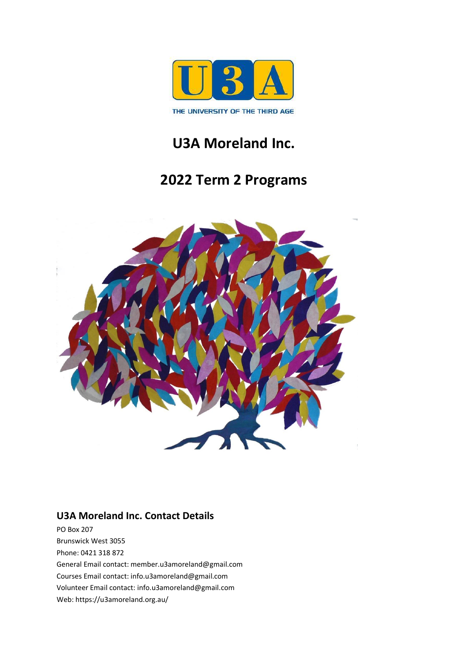

# **U3A Moreland Inc.**

# **2022 Term 2 Programs**



### **U3A Moreland Inc. Contact Details**

PO Box 207 Brunswick West 3055 Phone: 0421 318 872 General Email contact: member.u3amoreland@gmail.com Courses Email contact: info.u3amoreland@gmail.com Volunteer Email contact: info.u3amoreland@gmail.com Web: https://u3amoreland.org.au/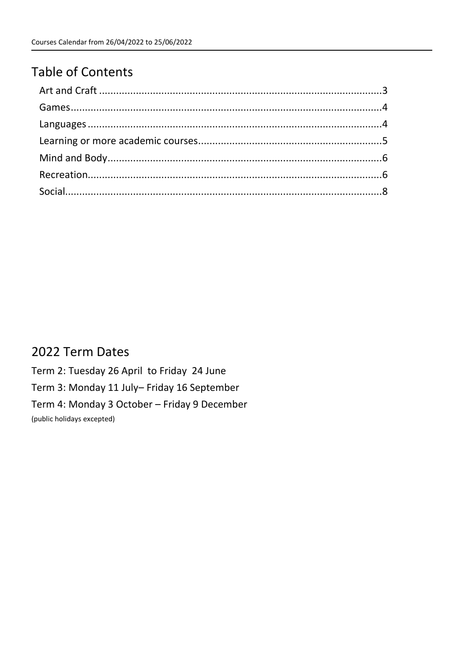# **Table of Contents**

## 2022 Term Dates

Term 2: Tuesday 26 April to Friday 24 June Term 3: Monday 11 July- Friday 16 September Term 4: Monday 3 October - Friday 9 December (public holidays excepted)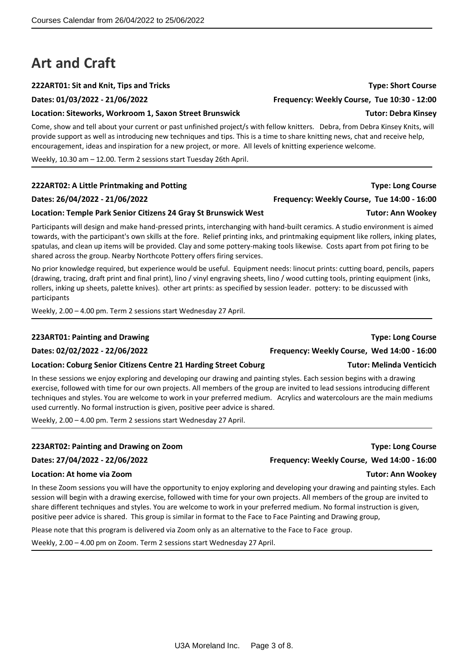# <span id="page-2-0"></span>**Art and Craft**

### **222ART01: Sit and Knit, Tips and Tricks Type: Short Course**

**Dates: 01/03/2022 - 21/06/2022 Frequency: Weekly Course, Tue 10:30 - 12:00**

### **Location: Siteworks, Workroom 1, Saxon Street Brunswick Tutor: Debra Kinsey**

Come, show and tell about your current or past unfinished project/s with fellow knitters. Debra, from Debra Kinsey Knits, will provide support as well as introducing new techniques and tips. This is a time to share knitting news, chat and receive help, encouragement, ideas and inspiration for a new project, or more. All levels of knitting experience welcome.

Weekly, 10.30 am – 12.00. Term 2 sessions start Tuesday 26th April.

### **222ART02: A Little Printmaking and Potting Type: Long Course**

### **Dates: 26/04/2022 - 21/06/2022 Frequency: Weekly Course, Tue 14:00 - 16:00**

### **Location: Temple Park Senior Citizens 24 Gray St Brunswick West Tutor: Ann Wookey**

Participants will design and make hand-pressed prints, interchanging with hand-built ceramics. A studio environment is aimed towards, with the participant's own skills at the fore. Relief printing inks, and printmaking equipment like rollers, inking plates, spatulas, and clean up items will be provided. Clay and some pottery-making tools likewise. Costs apart from pot firing to be shared across the group. Nearby Northcote Pottery offers firing services.

No prior knowledge required, but experience would be useful. Equipment needs: linocut prints: cutting board, pencils, papers (drawing, tracing, draft print and final print), lino / vinyl engraving sheets, lino / wood cutting tools, printing equipment (inks, rollers, inking up sheets, palette knives). other art prints: as specified by session leader. pottery: to be discussed with participants

Weekly, 2.00 – 4.00 pm. Term 2 sessions start Wednesday 27 April.

### **223ART01: Painting and Drawing Type: Long Course**

### **Location: Coburg Senior Citizens Centre 21 Harding Street Coburg Tutor: Melinda Venticich**

In these sessions we enjoy exploring and developing our drawing and painting styles. Each session begins with a drawing exercise, followed with time for our own projects. All members of the group are invited to lead sessions introducing different techniques and styles. You are welcome to work in your preferred medium. Acrylics and watercolours are the main mediums used currently. No formal instruction is given, positive peer advice is shared.

Weekly, 2.00 – 4.00 pm. Term 2 sessions start Wednesday 27 April.

### **Dates: 27/04/2022 - 22/06/2022 Frequency: Weekly Course, Wed 14:00 - 16:00**

### **Location: At home via Zoom Tutor: Ann Wookey**

In these Zoom sessions you will have the opportunity to enjoy exploring and developing your drawing and painting styles. Each session will begin with a drawing exercise, followed with time for your own projects. All members of the group are invited to share different techniques and styles. You are welcome to work in your preferred medium. No formal instruction is given, positive peer advice is shared. This group is similar in format to the Face to Face Painting and Drawing group,

Please note that this program is delivered via Zoom only as an alternative to the Face to Face group.

Weekly, 2.00 – 4.00 pm on Zoom. Term 2 sessions start Wednesday 27 April.

### U3A Moreland Inc. Page 3 of 8.

**223ART02: Painting and Drawing on Zoom Type: Long Course**

# **Dates: 02/02/2022 - 22/06/2022 Frequency: Weekly Course, Wed 14:00 - 16:00**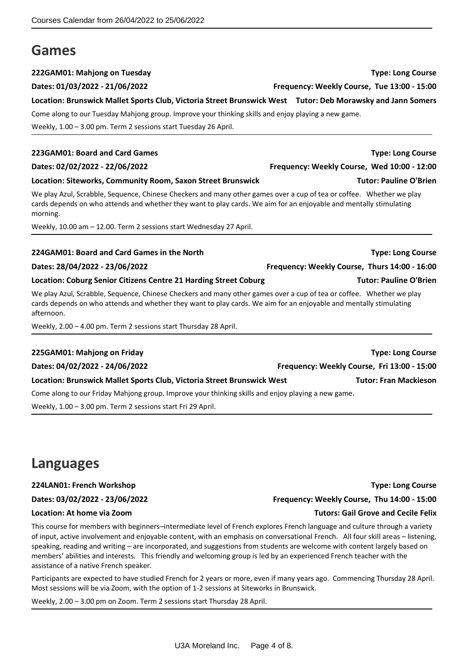# <span id="page-3-0"></span>**Games**

### **222GAM01: Mahjong on Tuesday Type: Long Course**

### **Dates: 01/03/2022 - 21/06/2022 Frequency: Weekly Course, Tue 13:00 - 15:00**

**Location: Brunswick Mallet Sports Club, Victoria Street Brunswick West Tutor: Deb Morawsky and Jann Somers**

Come along to our Tuesday Mahjong group. Improve your thinking skills and enjoy playing a new game.

Weekly, 1.00 – 3.00 pm. Term 2 sessions start Tuesday 26 April.

### **223GAM01: Board and Card Games Type: Long Course**

### **Dates: 02/02/2022 - 22/06/2022 Frequency: Weekly Course, Wed 10:00 - 12:00**

### **Location: Siteworks, Community Room, Saxon Street Brunswick Tutor: Pauline O'Brien**

We play Azul, Scrabble, Sequence, Chinese Checkers and many other games over a cup of tea or coffee. Whether we play cards depends on who attends and whether they want to play cards. We aim for an enjoyable and mentally stimulating morning.

Weekly, 10.00 am – 12.00. Term 2 sessions start Wednesday 27 April.

### **224GAM01: Board and Card Games in the North Type: Long Course**

### **Location: Coburg Senior Citizens Centre 21 Harding Street Coburg Tutor: Pauline O'Brien**

We play Azul, Scrabble, Sequence, Chinese Checkers and many other games over a cup of tea or coffee. Whether we play cards depends on who attends and whether they want to play cards. We aim for an enjoyable and mentally stimulating afternoon.

Weekly, 2.00 – 4.00 pm. Term 2 sessions start Thursday 28 April.

### **225GAM01: Mahjong on Friday Type: Long Course**

**Location: Brunswick Mallet Sports Club, Victoria Street Brunswick West Tutor: Fran Mackieson**

Come along to our Friday Mahjong group. Improve your thinking skills and enjoy playing a new game.

Weekly, 1.00 – 3.00 pm. Term 2 sessions start Fri 29 April.

# <span id="page-3-1"></span>**Languages**

### **224LAN01: French Workshop Type: Long Course**

This course for members with beginners–intermediate level of French explores French language and culture through a variety of input, active involvement and enjoyable content, with an emphasis on conversational French. All four skill areas – listening, speaking, reading and writing – are incorporated, and suggestions from students are welcome with content largely based on members' abilities and interests. This friendly and welcoming group is led by an experienced French teacher with the assistance of a native French speaker.

Participants are expected to have studied French for 2 years or more, even if many years ago. Commencing Thursday 28 April. Most sessions will be via Zoom, with the option of 1-2 sessions at Siteworks in Brunswick.

Weekly, 2.00 – 3.00 pm on Zoom. Term 2 sessions start Thursday 28 April.

**Dates: 03/02/2022 - 23/06/2022 Frequency: Weekly Course, Thu 14:00 - 15:00**

### **Location: At home via Zoom Tutors: Gail Grove and Cecile Felix**

**Dates: 04/02/2022 - 24/06/2022 Frequency: Weekly Course, Fri 13:00 - 15:00**

**Dates: 28/04/2022 - 23/06/2022 Frequency: Weekly Course, Thurs 14:00 - 16:00**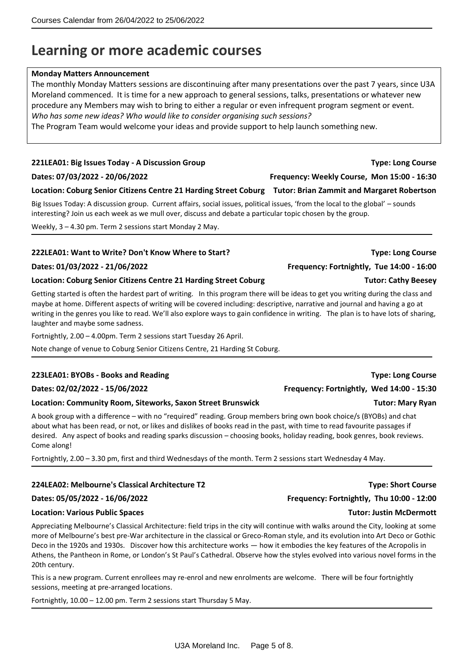# <span id="page-4-0"></span>**Learning or more academic courses**

### **Monday Matters Announcement**

The monthly Monday Matters sessions are discontinuing after many presentations over the past 7 years, since U3A Moreland commenced. It is time for a new approach to general sessions, talks, presentations or whatever new procedure any Members may wish to bring to either a regular or even infrequent program segment or event. *Who has some new ideas? Who would like to consider organising such sessions?*

The Program Team would welcome your ideas and provide support to help launch something new.

### **221LEA01: Big Issues Today - A Discussion Group Type: Long Course**

**Dates: 07/03/2022 - 20/06/2022 Frequency: Weekly Course, Mon 15:00 - 16:30**

### **Location: Coburg Senior Citizens Centre 21 Harding Street Coburg Tutor: Brian Zammit and Margaret Robertson**

Big Issues Today: A discussion group. Current affairs, social issues, political issues, 'from the local to the global' – sounds interesting? Join us each week as we mull over, discuss and debate a particular topic chosen by the group.

Weekly, 3 – 4.30 pm. Term 2 sessions start Monday 2 May.

### **222LEA01: Want to Write? Don't Know Where to Start? Type: Long Course**

### **Location: Coburg Senior Citizens Centre 21 Harding Street Coburg Tutor: Cathy Beesey**

Getting started is often the hardest part of writing. In this program there will be ideas to get you writing during the class and maybe at home. Different aspects of writing will be covered including: descriptive, narrative and journal and having a go at writing in the genres you like to read. We'll also explore ways to gain confidence in writing. The plan is to have lots of sharing, laughter and maybe some sadness.

Fortnightly, 2.00 – 4.00pm. Term 2 sessions start Tuesday 26 April.

Note change of venue to Coburg Senior Citizens Centre, 21 Harding St Coburg.

### **223LEA01: BYOBs - Books and Reading Type: Long Course**

### **Location: Community Room, Siteworks, Saxon Street Brunswick Tutor: Mary Ryan**

A book group with a difference – with no "required" reading. Group members bring own book choice/s (BYOBs) and chat about what has been read, or not, or likes and dislikes of books read in the past, with time to read favourite passages if desired. Any aspect of books and reading sparks discussion – choosing books, holiday reading, book genres, book reviews. Come along!

Fortnightly, 2.00 – 3.30 pm, first and third Wednesdays of the month. Term 2 sessions start Wednesday 4 May.

### **224LEA02: Melbourne's Classical Architecture T2 Type: Short Course**

### **Location: Various Public Spaces Tutor: Justin McDermott**

Appreciating Melbourne's Classical Architecture: field trips in the city will continue with walks around the City, looking at some more of Melbourne's best pre-War architecture in the classical or Greco-Roman style, and its evolution into Art Deco or Gothic Deco in the 1920s and 1930s. Discover how this architecture works — how it embodies the key features of the Acropolis in Athens, the Pantheon in Rome, or London's St Paul's Cathedral. Observe how the styles evolved into various novel forms in the 20th century.

This is a new program. Current enrollees may re-enrol and new enrolments are welcome. There will be four fortnightly sessions, meeting at pre-arranged locations.

Fortnightly, 10.00 – 12.00 pm. Term 2 sessions start Thursday 5 May.

# **Dates: 02/02/2022 - 15/06/2022 Frequency: Fortnightly, Wed 14:00 - 15:30**

**Dates: 05/05/2022 - 16/06/2022 Frequency: Fortnightly, Thu 10:00 - 12:00**

**Dates: 01/03/2022 - 21/06/2022 Frequency: Fortnightly, Tue 14:00 - 16:00**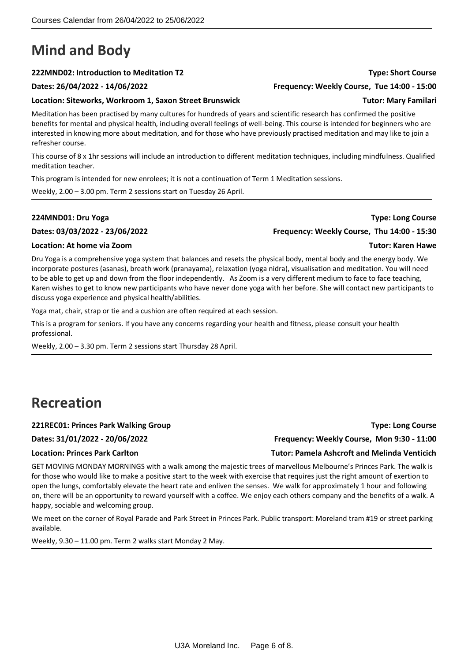# <span id="page-5-0"></span>**Mind and Body**

### **222MND02: Introduction to Meditation T2 Type: Short Course**

### **Dates: 26/04/2022 - 14/06/2022 Frequency: Weekly Course, Tue 14:00 - 15:00**

### **Location: Siteworks, Workroom 1, Saxon Street Brunswick Tutor: Mary Familari**

Meditation has been practised by many cultures for hundreds of years and scientific research has confirmed the positive benefits for mental and physical health, including overall feelings of well-being. This course is intended for beginners who are interested in knowing more about meditation, and for those who have previously practised meditation and may like to join a refresher course.

This course of 8 x 1hr sessions will include an introduction to different meditation techniques, including mindfulness. Qualified meditation teacher.

This program is intended for new enrolees; it is not a continuation of Term 1 Meditation sessions.

Weekly, 2.00 – 3.00 pm. Term 2 sessions start on Tuesday 26 April.

**Dates: 03/03/2022 - 23/06/2022 Frequency: Weekly Course, Thu 14:00 - 15:30**

### **Location: At home via Zoom Tutor: Karen Hawe**

Dru Yoga is a comprehensive yoga system that balances and resets the physical body, mental body and the energy body. We incorporate postures (asanas), breath work (pranayama), relaxation (yoga nidra), visualisation and meditation. You will need to be able to get up and down from the floor independently. As Zoom is a very different medium to face to face teaching, Karen wishes to get to know new participants who have never done yoga with her before. She will contact new participants to discuss yoga experience and physical health/abilities.

Yoga mat, chair, strap or tie and a cushion are often required at each session.

This is a program for seniors. If you have any concerns regarding your health and fitness, please consult your health professional.

Weekly, 2.00 – 3.30 pm. Term 2 sessions start Thursday 28 April.

# <span id="page-5-1"></span>**Recreation**

### **221REC01: Princes Park Walking Group Type: Long Course**

GET MOVING MONDAY MORNINGS with a walk among the majestic trees of marvellous Melbourne's Princes Park. The walk is for those who would like to make a positive start to the week with exercise that requires just the right amount of exertion to open the lungs, comfortably elevate the heart rate and enliven the senses. We walk for approximately 1 hour and following on, there will be an opportunity to reward yourself with a coffee. We enjoy each others company and the benefits of a walk. A happy, sociable and welcoming group.

We meet on the corner of Royal Parade and Park Street in Princes Park. Public transport: Moreland tram #19 or street parking available.

Weekly, 9.30 – 11.00 pm. Term 2 walks start Monday 2 May.

**Dates: 31/01/2022 - 20/06/2022 Frequency: Weekly Course, Mon 9:30 - 11:00**

**Location: Princes Park Carlton Tutor: Pamela Ashcroft and Melinda Venticich**

**224MND01: Dru Yoga Type: Long Course**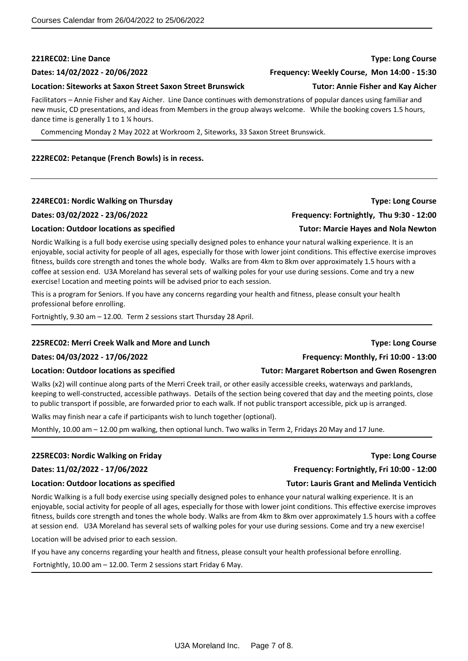### **221REC02: Line Dance Type: Long Course**

### **Location: Siteworks at Saxon Street Saxon Street Brunswick Tutor: Annie Fisher and Kay Aicher**

Facilitators – Annie Fisher and Kay Aicher. Line Dance continues with demonstrations of popular dances using familiar and new music, CD presentations, and ideas from Members in the group always welcome. While the booking covers 1.5 hours, dance time is generally 1 to 1 ¼ hours.

Commencing Monday 2 May 2022 at Workroom 2, Siteworks, 33 Saxon Street Brunswick.

### **222REC02: Petanque (French Bowls) is in recess.**

### **224REC01: Nordic Walking on Thursday Type: Long Course**

### **Dates: 03/02/2022 - 23/06/2022 Frequency: Fortnightly, Thu 9:30 - 12:00**

### **Location: Outdoor locations as specified Tutor: Marcie Hayes and Nola Newton**

Nordic Walking is a full body exercise using specially designed poles to enhance your natural walking experience. It is an enjoyable, social activity for people of all ages, especially for those with lower joint conditions. This effective exercise improves fitness, builds core strength and tones the whole body. Walks are from 4km to 8km over approximately 1.5 hours with a coffee at session end. U3A Moreland has several sets of walking poles for your use during sessions. Come and try a new exercise! Location and meeting points will be advised prior to each session.

This is a program for Seniors. If you have any concerns regarding your health and fitness, please consult your health professional before enrolling.

Fortnightly, 9.30 am – 12.00. Term 2 sessions start Thursday 28 April.

### **225REC02: Merri Creek Walk and More and Lunch Type: Long Course**

### **Dates: 04/03/2022 - 17/06/2022 Frequency: Monthly, Fri 10:00 - 13:00**

### **Location: Outdoor locations as specified Tutor: Margaret Robertson and Gwen Rosengren**

Walks (x2) will continue along parts of the Merri Creek trail, or other easily accessible creeks, waterways and parklands, keeping to well-constructed, accessible pathways. Details of the section being covered that day and the meeting points, close to public transport if possible, are forwarded prior to each walk. If not public transport accessible, pick up is arranged.

Walks may finish near a cafe if participants wish to lunch together (optional).

Monthly, 10.00 am – 12.00 pm walking, then optional lunch. Two walks in Term 2, Fridays 20 May and 17 June.

### **225REC03: Nordic Walking on Friday Type: Long Course**

Nordic Walking is a full body exercise using specially designed poles to enhance your natural walking experience. It is an enjoyable, social activity for people of all ages, especially for those with lower joint conditions. This effective exercise improves fitness, builds core strength and tones the whole body. Walks are from 4km to 8km over approximately 1.5 hours with a coffee at session end. U3A Moreland has several sets of walking poles for your use during sessions. Come and try a new exercise!

Location will be advised prior to each session.

If you have any concerns regarding your health and fitness, please consult your health professional before enrolling.

Fortnightly, 10.00 am – 12.00. Term 2 sessions start Friday 6 May.

U3A Moreland Inc. Page 7 of 8.

**Dates: 14/02/2022 - 20/06/2022 Frequency: Weekly Course, Mon 14:00 - 15:30**

### **Location: Outdoor locations as specified Tutor: Lauris Grantand Melinda Venticich**

# **Dates: 11/02/2022 - 17/06/2022 Frequency: Fortnightly, Fri 10:00 - 12:00**